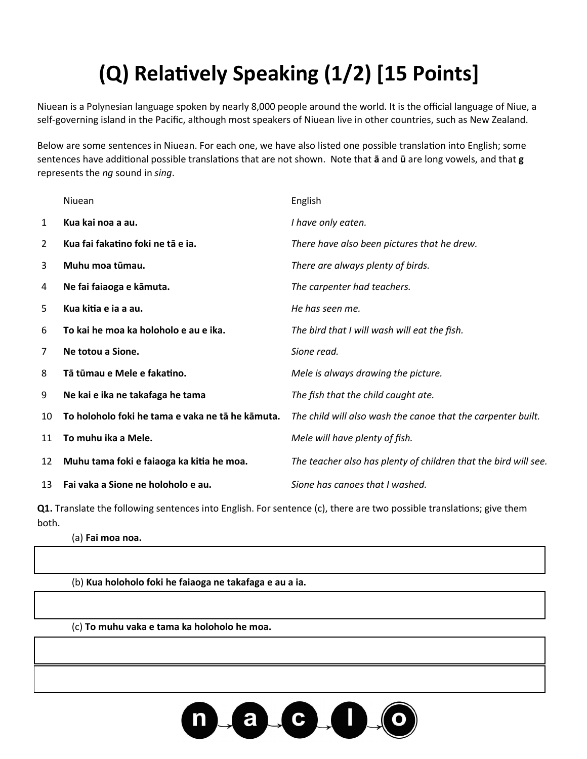## **(Q) Relatively Speaking (1/2) [15 Points]**

Niuean is a Polynesian language spoken by nearly 8,000 people around the world. It is the official language of Niue, a self-governing island in the Pacific, although most speakers of Niuean live in other countries, such as New Zealand.

Below are some sentences in Niuean. For each one, we have also listed one possible translation into English; some sentences have additional possible translations that are not shown. Note that **ā** and **ū** are long vowels, and that **g** represents the *ng* sound in *sing*.

|                | Niuean                                           | English                                                         |
|----------------|--------------------------------------------------|-----------------------------------------------------------------|
| $\mathbf{1}$   | Kua kai noa a au.                                | I have only eaten.                                              |
| $\overline{2}$ | Kua fai fakatino foki ne tā e ja.                | There have also been pictures that he drew.                     |
| 3              | Muhu moa tūmau.                                  | There are always plenty of birds.                               |
| 4              | Ne fai faiaoga e kāmuta.                         | The carpenter had teachers.                                     |
| 5              | Kua kitia e ja a au.                             | He has seen me.                                                 |
| 6              | To kai he moa ka holoholo e au e ika.            | The bird that I will wash will eat the fish.                    |
| 7              | Ne totou a Sione.                                | Sione read.                                                     |
| 8              | Tā tūmau e Mele e fakatino.                      | Mele is always drawing the picture.                             |
| 9              | Ne kai e ika ne takafaga he tama                 | The fish that the child caught ate.                             |
| 10             | To holoholo foki he tama e vaka ne tā he kāmuta. | The child will also wash the canoe that the carpenter built.    |
| 11             | To muhu ika a Mele.                              | Mele will have plenty of fish.                                  |
| 12             | Muhu tama foki e faiaoga ka kitia he moa.        | The teacher also has plenty of children that the bird will see. |
| 13             | Fai vaka a Sione ne holoholo e au.               | Sione has canoes that I washed.                                 |
|                |                                                  |                                                                 |

**Q1.** Translate the following sentences into English. For sentence (c), there are two possible translations; give them both.

(a) **Fai moa noa.**

(b) **Kua holoholo foki he faiaoga ne takafaga e au a ia.**

(c) **To muhu vaka e tama ka holoholo he moa.**